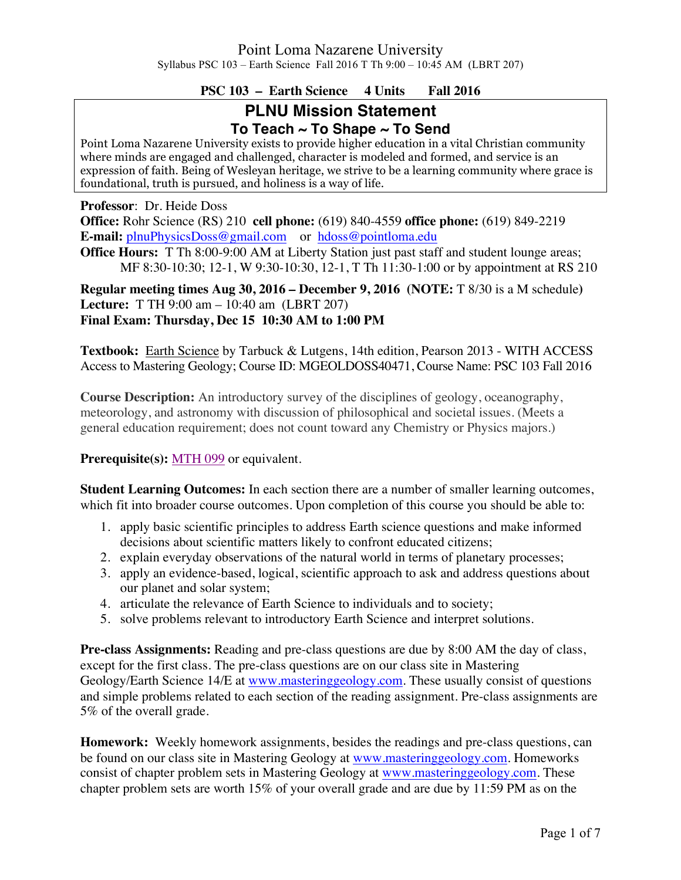## **PSC 103 – Earth Science 4 Units Fall 2016**

# **PLNU Mission Statement To Teach ~ To Shape ~ To Send**

Point Loma Nazarene University exists to provide higher education in a vital Christian community where minds are engaged and challenged, character is modeled and formed, and service is an expression of faith. Being of Wesleyan heritage, we strive to be a learning community where grace is foundational, truth is pursued, and holiness is a way of life.

**Professor**: Dr. Heide Doss

**Office:** Rohr Science (RS) 210 **cell phone:** (619) 840-4559 **office phone:** (619) 849-2219 **E-mail:** plnuPhysicsDoss@gmail.com or hdoss@pointloma.edu

**Office Hours:** T Th 8:00-9:00 AM at Liberty Station just past staff and student lounge areas; MF 8:30-10:30; 12-1, W 9:30-10:30, 12-1, T Th 11:30-1:00 or by appointment at RS 210

**Regular meeting times Aug 30, 2016 – December 9, 2016 (NOTE:** T 8/30 is a M schedule**) Lecture:** T TH 9:00 am – 10:40 am (LBRT 207) **Final Exam: Thursday, Dec 15 10:30 AM to 1:00 PM** 

**Textbook:** Earth Science by Tarbuck & Lutgens, 14th edition, Pearson 2013 - WITH ACCESS Access to Mastering Geology; Course ID: MGEOLDOSS40471, Course Name: PSC 103 Fall 2016

**Course Description:** An introductory survey of the disciplines of geology, oceanography, meteorology, and astronomy with discussion of philosophical and societal issues. (Meets a general education requirement; does not count toward any Chemistry or Physics majors.)

**Prerequisite(s):** MTH 099 or equivalent.

**Student Learning Outcomes:** In each section there are a number of smaller learning outcomes, which fit into broader course outcomes. Upon completion of this course you should be able to:

- 1. apply basic scientific principles to address Earth science questions and make informed decisions about scientific matters likely to confront educated citizens;
- 2. explain everyday observations of the natural world in terms of planetary processes;
- 3. apply an evidence-based, logical, scientific approach to ask and address questions about our planet and solar system;
- 4. articulate the relevance of Earth Science to individuals and to society;
- 5. solve problems relevant to introductory Earth Science and interpret solutions.

**Pre-class Assignments:** Reading and pre-class questions are due by 8:00 AM the day of class, except for the first class. The pre-class questions are on our class site in Mastering Geology/Earth Science 14/E at www.masteringgeology.com. These usually consist of questions and simple problems related to each section of the reading assignment. Pre-class assignments are 5% of the overall grade.

**Homework:** Weekly homework assignments, besides the readings and pre-class questions, can be found on our class site in Mastering Geology at www.masteringgeology.com. Homeworks consist of chapter problem sets in Mastering Geology at www.masteringgeology.com. These chapter problem sets are worth 15% of your overall grade and are due by 11:59 PM as on the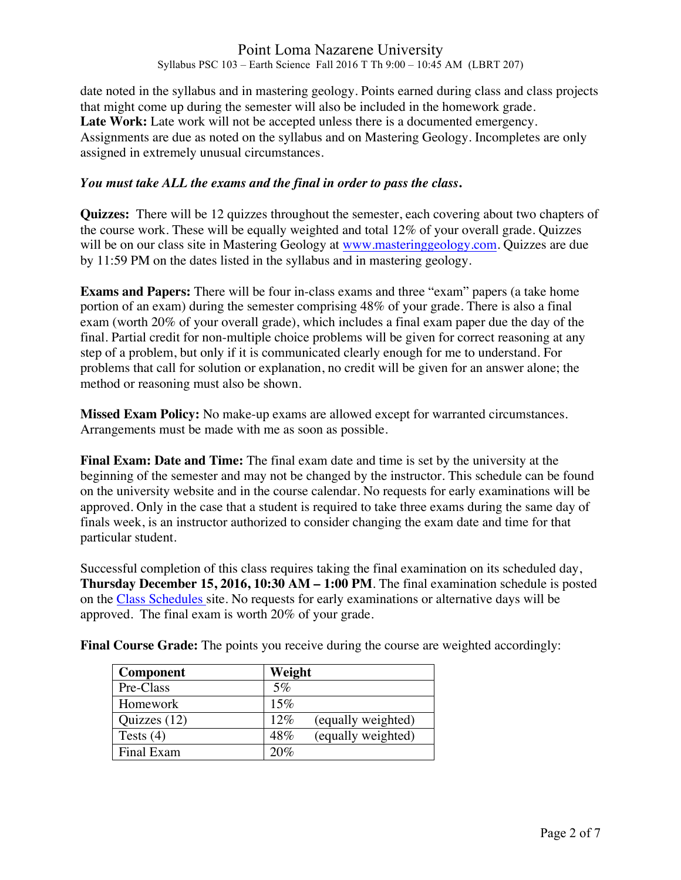date noted in the syllabus and in mastering geology. Points earned during class and class projects that might come up during the semester will also be included in the homework grade. Late Work: Late work will not be accepted unless there is a documented emergency. Assignments are due as noted on the syllabus and on Mastering Geology. Incompletes are only assigned in extremely unusual circumstances.

### *You must take ALL the exams and the final in order to pass the class***.**

**Quizzes:** There will be 12 quizzes throughout the semester, each covering about two chapters of the course work. These will be equally weighted and total 12% of your overall grade. Quizzes will be on our class site in Mastering Geology at www.masteringgeology.com. Quizzes are due by 11:59 PM on the dates listed in the syllabus and in mastering geology.

**Exams and Papers:** There will be four in-class exams and three "exam" papers (a take home portion of an exam) during the semester comprising 48% of your grade. There is also a final exam (worth 20% of your overall grade), which includes a final exam paper due the day of the final. Partial credit for non-multiple choice problems will be given for correct reasoning at any step of a problem, but only if it is communicated clearly enough for me to understand. For problems that call for solution or explanation, no credit will be given for an answer alone; the method or reasoning must also be shown.

**Missed Exam Policy:** No make-up exams are allowed except for warranted circumstances. Arrangements must be made with me as soon as possible.

**Final Exam: Date and Time:** The final exam date and time is set by the university at the beginning of the semester and may not be changed by the instructor. This schedule can be found on the university website and in the course calendar. No requests for early examinations will be approved. Only in the case that a student is required to take three exams during the same day of finals week, is an instructor authorized to consider changing the exam date and time for that particular student.

Successful completion of this class requires taking the final examination on its scheduled day, **Thursday December 15, 2016, 10:30 AM – 1:00 PM**. The final examination schedule is posted on the Class Schedules site. No requests for early examinations or alternative days will be approved. The final exam is worth 20% of your grade.

| <b>Component</b> | Weight                    |
|------------------|---------------------------|
| Pre-Class        | $5\%$                     |
| Homework         | 15%                       |
| Quizzes (12)     | 12%<br>(equally weighted) |
| Tests $(4)$      | 48%<br>(equally weighted) |
| Final Exam       | 20%                       |

**Final Course Grade:** The points you receive during the course are weighted accordingly: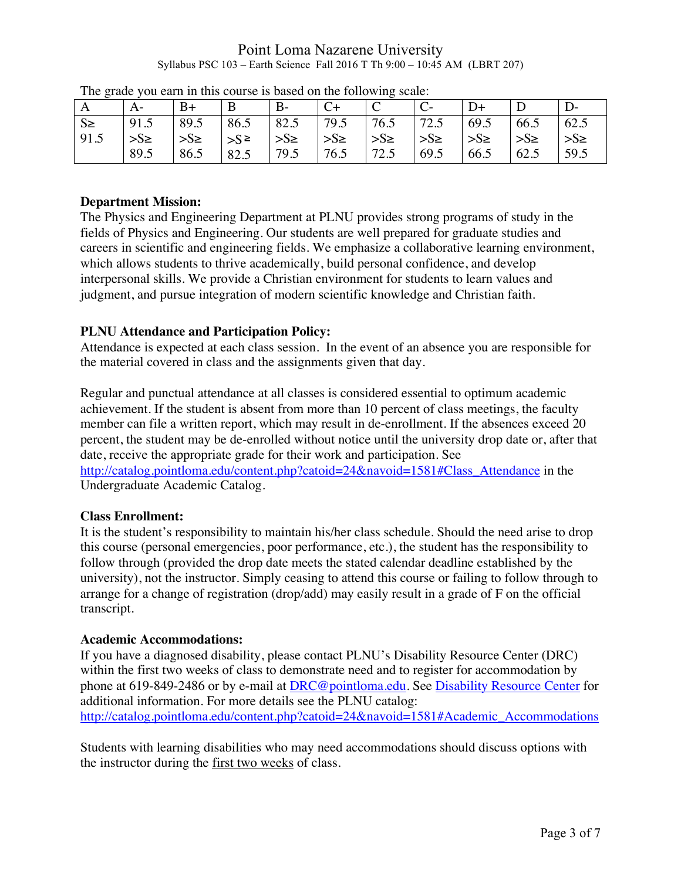| The grade you can in this course is sasca on the ronowing searc. |          |          |             |          |          |          |          |                 |          |          |
|------------------------------------------------------------------|----------|----------|-------------|----------|----------|----------|----------|-----------------|----------|----------|
| A                                                                | A-       | $B+$     | B           | $B -$    |          | ◡        |          |                 |          |          |
| $S \ge$                                                          | 91.5     | 89.5     | 86.5        | 82.5     | 79.5     | 76.5     | 72.5     | 69.5            | 66.5     | 62.5     |
| 91.5                                                             | $>S\geq$ | $>S\geq$ | $>S^{\geq}$ | $>S\geq$ | $>S\geq$ | $>S\geq$ | $>S\geq$ | $\Rightarrow$ S | $>S\geq$ | $>S\geq$ |
|                                                                  | 89.5     | 86.5     | 82.5        | 79.5     | 76.5     | 72.5     | 69.5     | 66.5            | 62.5     | 59.5     |

|  |  |  | The grade you earn in this course is based on the following scale: |
|--|--|--|--------------------------------------------------------------------|
|--|--|--|--------------------------------------------------------------------|

## **Department Mission:**

The Physics and Engineering Department at PLNU provides strong programs of study in the fields of Physics and Engineering. Our students are well prepared for graduate studies and careers in scientific and engineering fields. We emphasize a collaborative learning environment, which allows students to thrive academically, build personal confidence, and develop interpersonal skills. We provide a Christian environment for students to learn values and judgment, and pursue integration of modern scientific knowledge and Christian faith.

## **PLNU Attendance and Participation Policy:**

Attendance is expected at each class session. In the event of an absence you are responsible for the material covered in class and the assignments given that day.

Regular and punctual attendance at all classes is considered essential to optimum academic achievement. If the student is absent from more than 10 percent of class meetings, the faculty member can file a written report, which may result in de-enrollment. If the absences exceed 20 percent, the student may be de-enrolled without notice until the university drop date or, after that date, receive the appropriate grade for their work and participation. See

http://catalog.pointloma.edu/content.php?catoid=24&navoid=1581#Class\_Attendance in the Undergraduate Academic Catalog.

## **Class Enrollment:**

It is the student's responsibility to maintain his/her class schedule. Should the need arise to drop this course (personal emergencies, poor performance, etc.), the student has the responsibility to follow through (provided the drop date meets the stated calendar deadline established by the university), not the instructor. Simply ceasing to attend this course or failing to follow through to arrange for a change of registration (drop/add) may easily result in a grade of F on the official transcript.

## **Academic Accommodations:**

If you have a diagnosed disability, please contact PLNU's Disability Resource Center (DRC) within the first two weeks of class to demonstrate need and to register for accommodation by phone at 619-849-2486 or by e-mail at DRC@pointloma.edu. See Disability Resource Center for additional information. For more details see the PLNU catalog: http://catalog.pointloma.edu/content.php?catoid=24&navoid=1581#Academic\_Accommodations

Students with learning disabilities who may need accommodations should discuss options with the instructor during the first two weeks of class.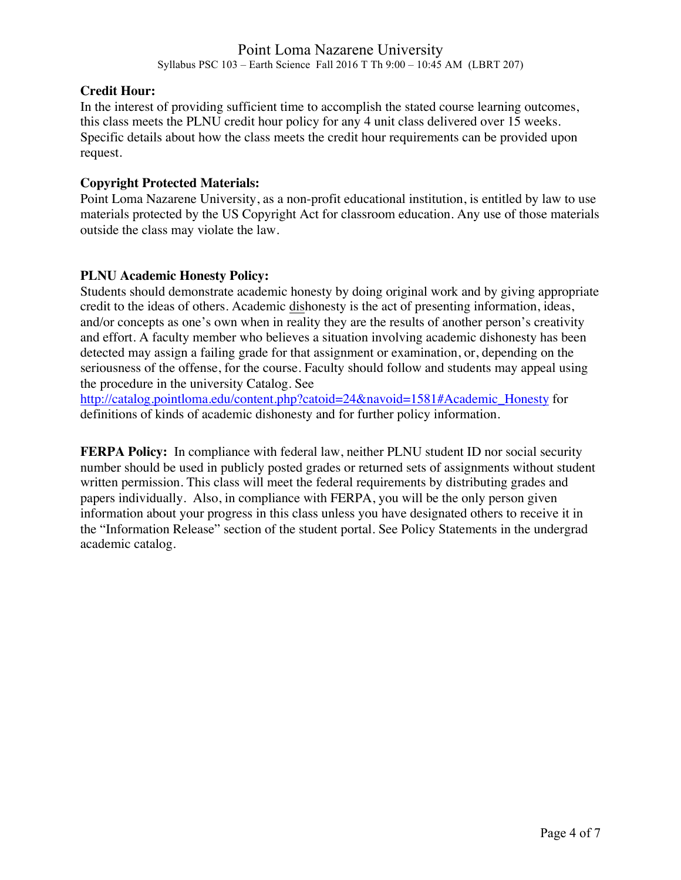#### **Credit Hour:**

In the interest of providing sufficient time to accomplish the stated course learning outcomes, this class meets the PLNU credit hour policy for any 4 unit class delivered over 15 weeks. Specific details about how the class meets the credit hour requirements can be provided upon request.

#### **Copyright Protected Materials:**

Point Loma Nazarene University, as a non-profit educational institution, is entitled by law to use materials protected by the US Copyright Act for classroom education. Any use of those materials outside the class may violate the law.

#### **PLNU Academic Honesty Policy:**

Students should demonstrate academic honesty by doing original work and by giving appropriate credit to the ideas of others. Academic dishonesty is the act of presenting information, ideas, and/or concepts as one's own when in reality they are the results of another person's creativity and effort. A faculty member who believes a situation involving academic dishonesty has been detected may assign a failing grade for that assignment or examination, or, depending on the seriousness of the offense, for the course. Faculty should follow and students may appeal using the procedure in the university Catalog. See

http://catalog.pointloma.edu/content.php?catoid=24&navoid=1581#Academic\_Honesty for definitions of kinds of academic dishonesty and for further policy information.

**FERPA Policy:** In compliance with federal law, neither PLNU student ID nor social security number should be used in publicly posted grades or returned sets of assignments without student written permission. This class will meet the federal requirements by distributing grades and papers individually. Also, in compliance with FERPA, you will be the only person given information about your progress in this class unless you have designated others to receive it in the "Information Release" section of the student portal. See Policy Statements in the undergrad academic catalog.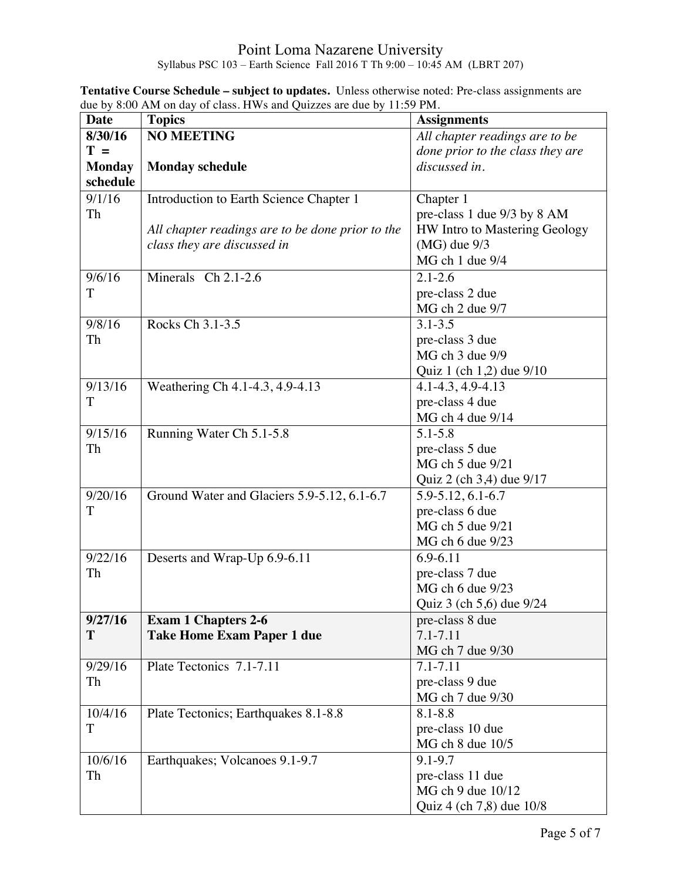| <b>Date</b>   | <b>Topics</b>                                    | <b>Assignments</b>                  |
|---------------|--------------------------------------------------|-------------------------------------|
| 8/30/16       | <b>NO MEETING</b>                                | All chapter readings are to be      |
| $T =$         |                                                  | done prior to the class they are    |
| <b>Monday</b> | <b>Monday schedule</b>                           | discussed in.                       |
| schedule      |                                                  |                                     |
| 9/1/16        | Introduction to Earth Science Chapter 1          | Chapter 1                           |
| Th            |                                                  | pre-class 1 due 9/3 by 8 AM         |
|               | All chapter readings are to be done prior to the | HW Intro to Mastering Geology       |
|               | class they are discussed in                      | $(MG)$ due $9/3$                    |
|               |                                                  | MG ch 1 due 9/4                     |
| 9/6/16        | Minerals Ch 2.1-2.6                              | $2.1 - 2.6$                         |
| T             |                                                  | pre-class 2 due                     |
|               |                                                  | MG ch 2 due 9/7                     |
| 9/8/16        | Rocks Ch 3.1-3.5                                 | $3.1 - 3.5$                         |
| Th            |                                                  | pre-class 3 due                     |
|               |                                                  | MG ch 3 due 9/9                     |
|               |                                                  | Quiz 1 (ch 1,2) due 9/10            |
| 9/13/16       | Weathering Ch 4.1-4.3, 4.9-4.13                  | 4.1-4.3, 4.9-4.13                   |
| T             |                                                  | pre-class 4 due                     |
|               |                                                  | MG ch 4 due 9/14                    |
| 9/15/16       | Running Water Ch 5.1-5.8                         | $5.1 - 5.8$                         |
| Th            |                                                  | pre-class 5 due                     |
|               |                                                  | MG ch 5 due 9/21                    |
|               |                                                  | Quiz 2 (ch 3,4) due 9/17            |
| 9/20/16<br>T  | Ground Water and Glaciers 5.9-5.12, 6.1-6.7      | 5.9-5.12, 6.1-6.7                   |
|               |                                                  | pre-class 6 due<br>MG ch 5 due 9/21 |
|               |                                                  | MG ch 6 due 9/23                    |
| 9/22/16       | Deserts and Wrap-Up 6.9-6.11                     | 6.9-6.11                            |
| Th            |                                                  | pre-class 7 due                     |
|               |                                                  | MG ch 6 due 9/23                    |
|               |                                                  | Quiz 3 (ch 5,6) due 9/24            |
| 9/27/16       | <b>Exam 1 Chapters 2-6</b>                       | pre-class 8 due                     |
| T             | <b>Take Home Exam Paper 1 due</b>                | 7.1-7.11                            |
|               |                                                  | MG ch 7 due 9/30                    |
| 9/29/16       | Plate Tectonics 7.1-7.11                         | 7.1-7.11                            |
| Th            |                                                  | pre-class 9 due                     |
|               |                                                  | MG ch 7 due 9/30                    |
| 10/4/16       | Plate Tectonics; Earthquakes 8.1-8.8             | $8.1 - 8.8$                         |
| T             |                                                  | pre-class 10 due                    |
|               |                                                  | MGch 8 due 10/5                     |
| 10/6/16       | Earthquakes; Volcanoes 9.1-9.7                   | 9.1-9.7                             |
| Th            |                                                  | pre-class 11 due                    |
|               |                                                  | MG ch 9 due 10/12                   |
|               |                                                  | Quiz 4 (ch 7,8) due 10/8            |

**Tentative Course Schedule – subject to updates.** Unless otherwise noted: Pre-class assignments are due by 8:00 AM on day of class. HWs and Quizzes are due by 11:59 PM.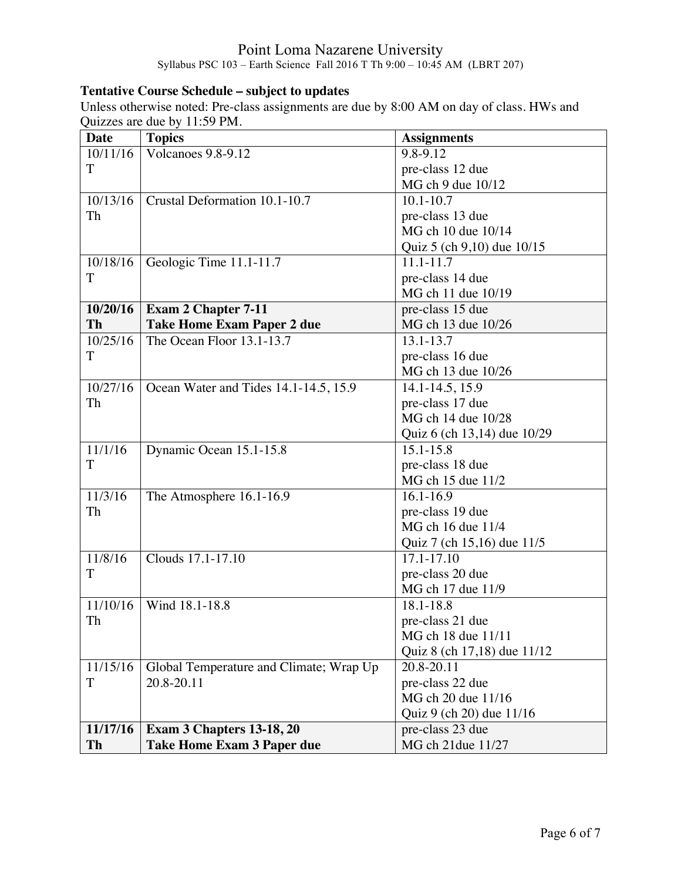## **Tentative Course Schedule – subject to updates**

Unless otherwise noted: Pre-class assignments are due by 8:00 AM on day of class. HWs and Quizzes are due by 11:59 PM.

| <b>Date</b> | <b>Topics</b>                           | <b>Assignments</b>          |
|-------------|-----------------------------------------|-----------------------------|
| 10/11/16    | Volcanoes 9.8-9.12                      | 9.8-9.12                    |
| T           |                                         | pre-class 12 due            |
|             |                                         | MG ch 9 due 10/12           |
| 10/13/16    | Crustal Deformation 10.1-10.7           | $10.1 - 10.7$               |
| Th          |                                         | pre-class 13 due            |
|             |                                         | MG ch 10 due 10/14          |
|             |                                         | Quiz 5 (ch 9,10) due 10/15  |
| 10/18/16    | Geologic Time 11.1-11.7                 | 11.1-11.7                   |
| T           |                                         | pre-class 14 due            |
|             |                                         | MG ch 11 due 10/19          |
| 10/20/16    | <b>Exam 2 Chapter 7-11</b>              | pre-class 15 due            |
| Th          | <b>Take Home Exam Paper 2 due</b>       | MG ch 13 due 10/26          |
| 10/25/16    | The Ocean Floor 13.1-13.7               | 13.1-13.7                   |
| T           |                                         | pre-class 16 due            |
|             |                                         | MG ch 13 due 10/26          |
| 10/27/16    | Ocean Water and Tides 14.1-14.5, 15.9   | 14.1-14.5, 15.9             |
| Th          |                                         | pre-class 17 due            |
|             |                                         | MG ch 14 due 10/28          |
|             |                                         | Quiz 6 (ch 13,14) due 10/29 |
| 11/1/16     | Dynamic Ocean 15.1-15.8                 | $15.1 - 15.8$               |
| T           |                                         | pre-class 18 due            |
|             |                                         | MG ch 15 due 11/2           |
| 11/3/16     | The Atmosphere 16.1-16.9                | $16.1 - 16.9$               |
| Th          |                                         | pre-class 19 due            |
|             |                                         | MG ch 16 due 11/4           |
|             |                                         | Quiz 7 (ch 15,16) due 11/5  |
| 11/8/16     | Clouds 17.1-17.10                       | $17.1 - 17.10$              |
| T           |                                         | pre-class 20 due            |
|             |                                         | MG ch 17 due 11/9           |
| 11/10/16    | Wind 18.1-18.8                          | 18.1-18.8                   |
| Th          |                                         | pre-class 21 due            |
|             |                                         | MG ch 18 due 11/11          |
|             |                                         | Quiz 8 (ch 17,18) due 11/12 |
| 11/15/16    | Global Temperature and Climate; Wrap Up | 20.8-20.11                  |
| T           | 20.8-20.11                              | pre-class 22 due            |
|             |                                         | MG ch 20 due 11/16          |
|             |                                         | Quiz 9 (ch 20) due 11/16    |
| 11/17/16    | Exam 3 Chapters 13-18, 20               | pre-class 23 due            |
| Th          | <b>Take Home Exam 3 Paper due</b>       | MG ch 21due 11/27           |